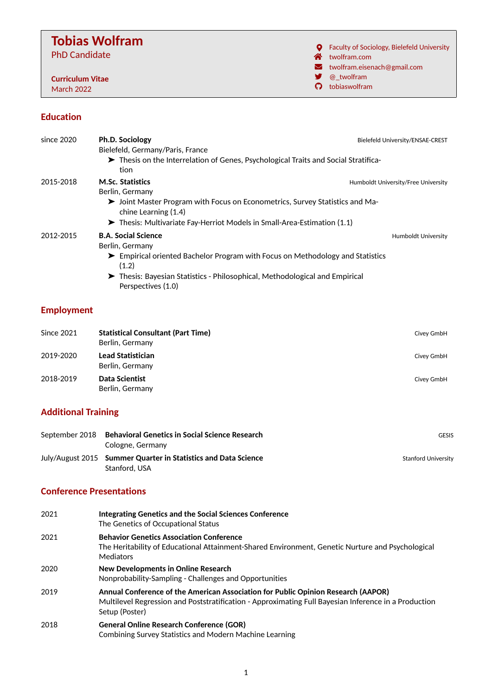# **Tobias Wolfram** PhD Candidate

**Curriculum Vitae** March 2022

**Q** Faculty of Sociology, Bielefeld University

- Ñ [twolfram.com](http://twolfram.com)
- $\blacktriangleright$  [twolfram.eisenach@gmail.com](mailto:twolfram.eisenach@gmail.com)
- [@\\_twolfram](https://twitter.com/_twolfram)
- § [tobiaswolfram](https://github.com/tobiaswolfram)

#### **Education**

| since 2020 | <b>Ph.D. Sociology</b>                                                                                 | Bielefeld University/ENSAE-CREST    |  |
|------------|--------------------------------------------------------------------------------------------------------|-------------------------------------|--|
|            | Bielefeld, Germany/Paris, France                                                                       |                                     |  |
|            | Thesis on the Interrelation of Genes, Psychological Traits and Social Stratifica-                      |                                     |  |
|            | tion                                                                                                   |                                     |  |
| 2015-2018  | <b>M.Sc. Statistics</b><br>Berlin, Germany                                                             | Humboldt University/Free University |  |
|            | > Joint Master Program with Focus on Econometrics, Survey Statistics and Ma-<br>chine Learning (1.4)   |                                     |  |
|            | $\blacktriangleright$ Thesis: Multivariate Fay-Herriot Models in Small-Area-Estimation (1.1)           |                                     |  |
| 2012-2015  | <b>B.A. Social Science</b><br>Berlin, Germany                                                          | <b>Humboldt University</b>          |  |
|            | $\triangleright$ Empirical oriented Bachelor Program with Focus on Methodology and Statistics<br>(1.2) |                                     |  |
|            | Thesis: Bayesian Statistics - Philosophical, Methodological and Empirical<br>Perspectives (1.0)        |                                     |  |
|            |                                                                                                        |                                     |  |

## **Employment**

| Since 2021 | <b>Statistical Consultant (Part Time)</b><br>Berlin, Germany | Civey GmbH |
|------------|--------------------------------------------------------------|------------|
| 2019-2020  | <b>Lead Statistician</b><br>Berlin, Germany                  | Civey GmbH |
| 2018-2019  | Data Scientist<br>Berlin, Germany                            | Civey GmbH |

## **Additional Training**

| September 2018 Behavioral Genetics in Social Science Research<br>Cologne, Germany | <b>GESIS</b>               |
|-----------------------------------------------------------------------------------|----------------------------|
| July/August 2015 Summer Quarter in Statistics and Data Science<br>Stanford, USA   | <b>Stanford University</b> |

## **Conference Presentations**

| 2021 | Integrating Genetics and the Social Sciences Conference<br>The Genetics of Occupational Status                                                                                                              |
|------|-------------------------------------------------------------------------------------------------------------------------------------------------------------------------------------------------------------|
| 2021 | <b>Behavior Genetics Association Conference</b><br>The Heritability of Educational Attainment-Shared Environment, Genetic Nurture and Psychological<br>Mediators                                            |
| 2020 | New Developments in Online Research<br>Nonprobability-Sampling - Challenges and Opportunities                                                                                                               |
| 2019 | Annual Conference of the American Association for Public Opinion Research (AAPOR)<br>Multilevel Regression and Poststratification - Approximating Full Bayesian Inference in a Production<br>Setup (Poster) |
| 2018 | <b>General Online Research Conference (GOR)</b><br>Combining Survey Statistics and Modern Machine Learning                                                                                                  |